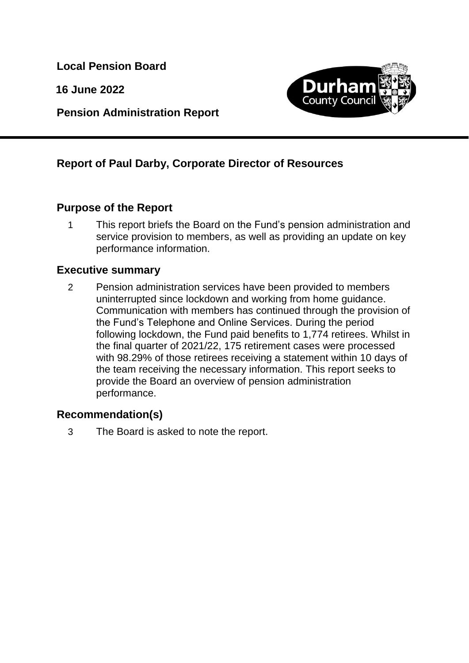**Local Pension Board**

**16 June 2022**

**Pension Administration Report**



# **Report of Paul Darby, Corporate Director of Resources**

## **Purpose of the Report**

1 This report briefs the Board on the Fund's pension administration and service provision to members, as well as providing an update on key performance information.

## **Executive summary**

2 Pension administration services have been provided to members uninterrupted since lockdown and working from home guidance. Communication with members has continued through the provision of the Fund's Telephone and Online Services. During the period following lockdown, the Fund paid benefits to 1,774 retirees. Whilst in the final quarter of 2021/22, 175 retirement cases were processed with 98.29% of those retirees receiving a statement within 10 days of the team receiving the necessary information. This report seeks to provide the Board an overview of pension administration performance.

## **Recommendation(s)**

3 The Board is asked to note the report.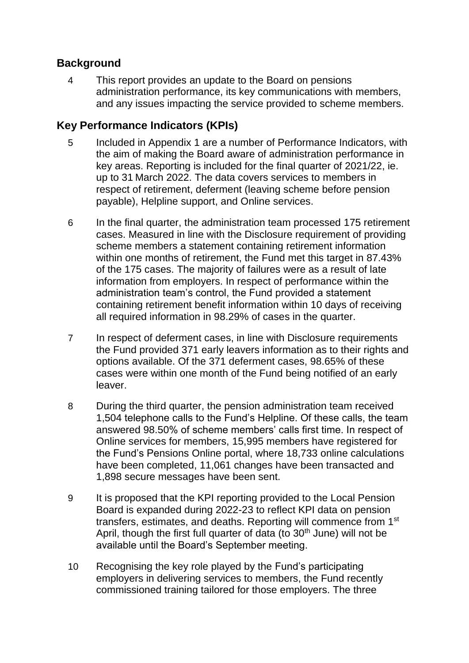## **Background**

4 This report provides an update to the Board on pensions administration performance, its key communications with members, and any issues impacting the service provided to scheme members.

## **Key Performance Indicators (KPIs)**

- 5 Included in Appendix 1 are a number of Performance Indicators, with the aim of making the Board aware of administration performance in key areas. Reporting is included for the final quarter of 2021/22, ie. up to 31 March 2022. The data covers services to members in respect of retirement, deferment (leaving scheme before pension payable), Helpline support, and Online services.
- 6 In the final quarter, the administration team processed 175 retirement cases. Measured in line with the Disclosure requirement of providing scheme members a statement containing retirement information within one months of retirement, the Fund met this target in 87.43% of the 175 cases. The majority of failures were as a result of late information from employers. In respect of performance within the administration team's control, the Fund provided a statement containing retirement benefit information within 10 days of receiving all required information in 98.29% of cases in the quarter.
- 7 In respect of deferment cases, in line with Disclosure requirements the Fund provided 371 early leavers information as to their rights and options available. Of the 371 deferment cases, 98.65% of these cases were within one month of the Fund being notified of an early leaver.
- 8 During the third quarter, the pension administration team received 1,504 telephone calls to the Fund's Helpline. Of these calls, the team answered 98.50% of scheme members' calls first time. In respect of Online services for members, 15,995 members have registered for the Fund's Pensions Online portal, where 18,733 online calculations have been completed, 11,061 changes have been transacted and 1,898 secure messages have been sent.
- 9 It is proposed that the KPI reporting provided to the Local Pension Board is expanded during 2022-23 to reflect KPI data on pension transfers, estimates, and deaths. Reporting will commence from 1st April, though the first full quarter of data (to  $30<sup>th</sup>$  June) will not be available until the Board's September meeting.
- 10 Recognising the key role played by the Fund's participating employers in delivering services to members, the Fund recently commissioned training tailored for those employers. The three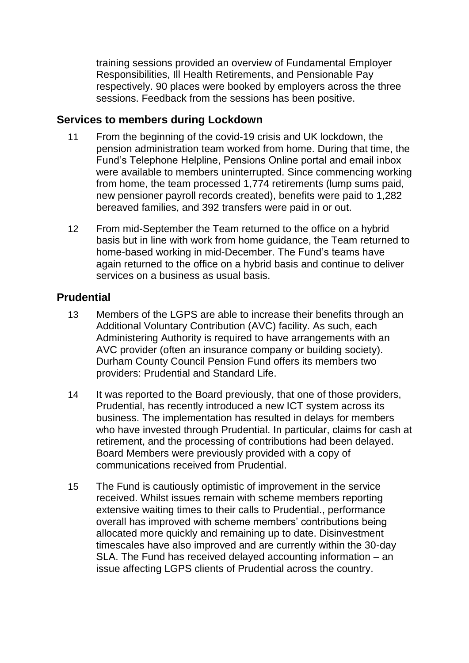training sessions provided an overview of Fundamental Employer Responsibilities, Ill Health Retirements, and Pensionable Pay respectively. 90 places were booked by employers across the three sessions. Feedback from the sessions has been positive.

#### **Services to members during Lockdown**

- 11 From the beginning of the covid-19 crisis and UK lockdown, the pension administration team worked from home. During that time, the Fund's Telephone Helpline, Pensions Online portal and email inbox were available to members uninterrupted. Since commencing working from home, the team processed 1,774 retirements (lump sums paid, new pensioner payroll records created), benefits were paid to 1,282 bereaved families, and 392 transfers were paid in or out.
- 12 From mid-September the Team returned to the office on a hybrid basis but in line with work from home guidance, the Team returned to home-based working in mid-December. The Fund's teams have again returned to the office on a hybrid basis and continue to deliver services on a business as usual basis.

## **Prudential**

- 13 Members of the LGPS are able to increase their benefits through an Additional Voluntary Contribution (AVC) facility. As such, each Administering Authority is required to have arrangements with an AVC provider (often an insurance company or building society). Durham County Council Pension Fund offers its members two providers: Prudential and Standard Life.
- 14 It was reported to the Board previously, that one of those providers, Prudential, has recently introduced a new ICT system across its business. The implementation has resulted in delays for members who have invested through Prudential. In particular, claims for cash at retirement, and the processing of contributions had been delayed. Board Members were previously provided with a copy of communications received from Prudential.
- 15 The Fund is cautiously optimistic of improvement in the service received. Whilst issues remain with scheme members reporting extensive waiting times to their calls to Prudential., performance overall has improved with scheme members' contributions being allocated more quickly and remaining up to date. Disinvestment timescales have also improved and are currently within the 30-day SLA. The Fund has received delayed accounting information – an issue affecting LGPS clients of Prudential across the country.